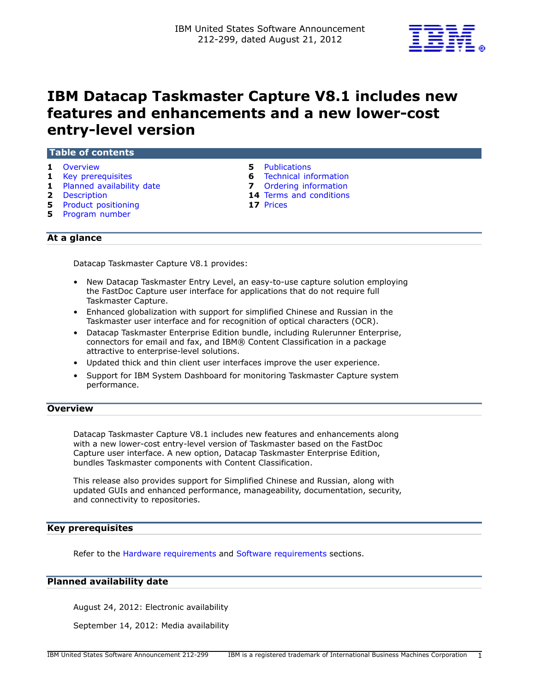

# **IBM Datacap Taskmaster Capture V8.1 includes new features and enhancements and a new lower-cost entry-level version**

|              | Table of contents                                                                                                                   |         |                                                                                                                |  |
|--------------|-------------------------------------------------------------------------------------------------------------------------------------|---------|----------------------------------------------------------------------------------------------------------------|--|
| $\mathbf{1}$ | Overview<br>1 Key prerequisites<br>1 Planned availability date<br>2 Description<br><b>5</b> Product positioning<br>5 Program number | 5.<br>7 | Publications<br><b>6</b> Technical information<br>Ordering information<br>14 Terms and conditions<br>17 Prices |  |
|              | At a glance                                                                                                                         |         |                                                                                                                |  |

Datacap Taskmaster Capture V8.1 provides:

- New Datacap Taskmaster Entry Level, an easy-to-use capture solution employing the FastDoc Capture user interface for applications that do not require full Taskmaster Capture.
- Enhanced globalization with support for simplified Chinese and Russian in the Taskmaster user interface and for recognition of optical characters (OCR).
- Datacap Taskmaster Enterprise Edition bundle, including Rulerunner Enterprise, connectors for email and fax, and IBM® Content Classification in a package attractive to enterprise-level solutions.
- Updated thick and thin client user interfaces improve the user experience.
- Support for IBM System Dashboard for monitoring Taskmaster Capture system performance.

# <span id="page-0-0"></span>**Overview**

Datacap Taskmaster Capture V8.1 includes new features and enhancements along with a new lower-cost entry-level version of Taskmaster based on the FastDoc Capture user interface. A new option, Datacap Taskmaster Enterprise Edition, bundles Taskmaster components with Content Classification.

This release also provides support for Simplified Chinese and Russian, along with updated GUIs and enhanced performance, manageability, documentation, security, and connectivity to repositories.

## <span id="page-0-1"></span>**Key prerequisites**

Refer to the [Hardware requirements](#page-5-1) and [Software requirements](#page-5-2) sections.

## <span id="page-0-2"></span>**Planned availability date**

August 24, 2012: Electronic availability

September 14, 2012: Media availability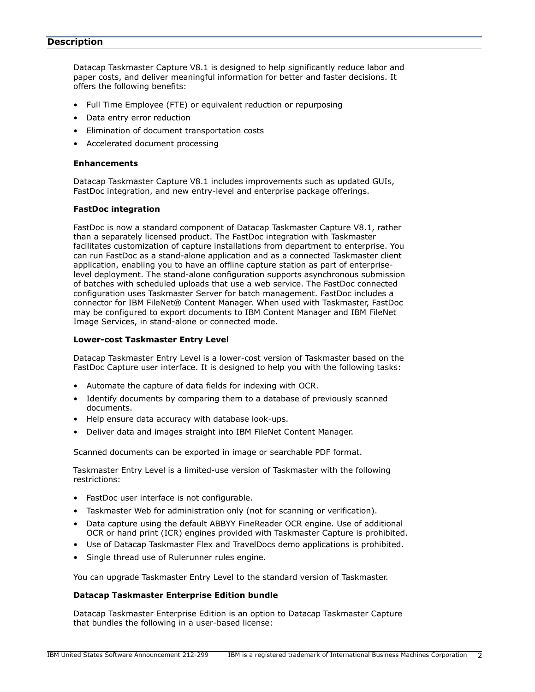## <span id="page-1-0"></span>**Description**

Datacap Taskmaster Capture V8.1 is designed to help significantly reduce labor and paper costs, and deliver meaningful information for better and faster decisions. It offers the following benefits:

- Full Time Employee (FTE) or equivalent reduction or repurposing
- Data entry error reduction
- Elimination of document transportation costs
- Accelerated document processing

#### **Enhancements**

Datacap Taskmaster Capture V8.1 includes improvements such as updated GUIs, FastDoc integration, and new entry-level and enterprise package offerings.

#### **FastDoc integration**

FastDoc is now a standard component of Datacap Taskmaster Capture V8.1, rather than a separately licensed product. The FastDoc integration with Taskmaster facilitates customization of capture installations from department to enterprise. You can run FastDoc as a stand-alone application and as a connected Taskmaster client application, enabling you to have an offline capture station as part of enterpriselevel deployment. The stand-alone configuration supports asynchronous submission of batches with scheduled uploads that use a web service. The FastDoc connected configuration uses Taskmaster Server for batch management. FastDoc includes a connector for IBM FileNet® Content Manager. When used with Taskmaster, FastDoc may be configured to export documents to IBM Content Manager and IBM FileNet Image Services, in stand-alone or connected mode.

#### **Lower-cost Taskmaster Entry Level**

Datacap Taskmaster Entry Level is a lower-cost version of Taskmaster based on the FastDoc Capture user interface. It is designed to help you with the following tasks:

- Automate the capture of data fields for indexing with OCR.
- Identify documents by comparing them to a database of previously scanned documents.
- Help ensure data accuracy with database look-ups.
- Deliver data and images straight into IBM FileNet Content Manager.

Scanned documents can be exported in image or searchable PDF format.

Taskmaster Entry Level is a limited-use version of Taskmaster with the following restrictions:

- FastDoc user interface is not configurable.
- Taskmaster Web for administration only (not for scanning or verification).
- Data capture using the default ABBYY FineReader OCR engine. Use of additional OCR or hand print (ICR) engines provided with Taskmaster Capture is prohibited.
- Use of Datacap Taskmaster Flex and TravelDocs demo applications is prohibited.
- Single thread use of Rulerunner rules engine.

You can upgrade Taskmaster Entry Level to the standard version of Taskmaster.

## **Datacap Taskmaster Enterprise Edition bundle**

Datacap Taskmaster Enterprise Edition is an option to Datacap Taskmaster Capture that bundles the following in a user-based license: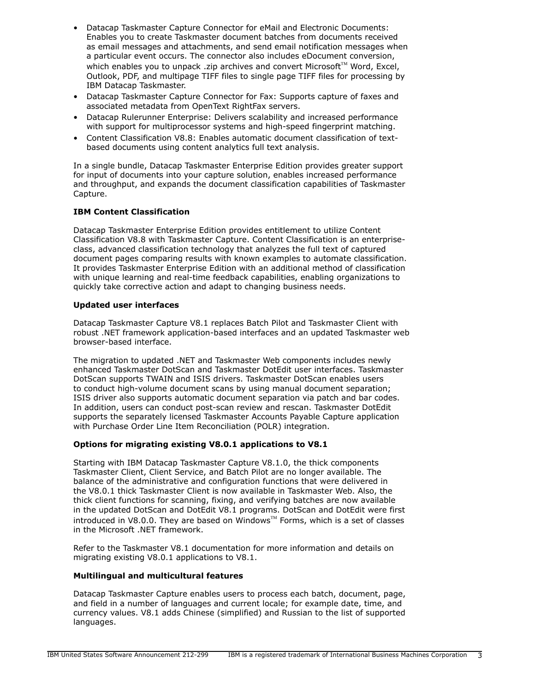- Datacap Taskmaster Capture Connector for eMail and Electronic Documents: Enables you to create Taskmaster document batches from documents received as email messages and attachments, and send email notification messages when a particular event occurs. The connector also includes eDocument conversion, which enables you to unpack .zip archives and convert Microsoft<sup>TM</sup> Word, Excel, Outlook, PDF, and multipage TIFF files to single page TIFF files for processing by IBM Datacap Taskmaster.
- Datacap Taskmaster Capture Connector for Fax: Supports capture of faxes and associated metadata from OpenText RightFax servers.
- Datacap Rulerunner Enterprise: Delivers scalability and increased performance with support for multiprocessor systems and high-speed fingerprint matching.
- Content Classification V8.8: Enables automatic document classification of textbased documents using content analytics full text analysis.

In a single bundle, Datacap Taskmaster Enterprise Edition provides greater support for input of documents into your capture solution, enables increased performance and throughput, and expands the document classification capabilities of Taskmaster Capture.

# **IBM Content Classification**

Datacap Taskmaster Enterprise Edition provides entitlement to utilize Content Classification V8.8 with Taskmaster Capture. Content Classification is an enterpriseclass, advanced classification technology that analyzes the full text of captured document pages comparing results with known examples to automate classification. It provides Taskmaster Enterprise Edition with an additional method of classification with unique learning and real-time feedback capabilities, enabling organizations to quickly take corrective action and adapt to changing business needs.

## **Updated user interfaces**

Datacap Taskmaster Capture V8.1 replaces Batch Pilot and Taskmaster Client with robust .NET framework application-based interfaces and an updated Taskmaster web browser-based interface.

The migration to updated .NET and Taskmaster Web components includes newly enhanced Taskmaster DotScan and Taskmaster DotEdit user interfaces. Taskmaster DotScan supports TWAIN and ISIS drivers. Taskmaster DotScan enables users to conduct high-volume document scans by using manual document separation; ISIS driver also supports automatic document separation via patch and bar codes. In addition, users can conduct post-scan review and rescan. Taskmaster DotEdit supports the separately licensed Taskmaster Accounts Payable Capture application with Purchase Order Line Item Reconciliation (POLR) integration.

## **Options for migrating existing V8.0.1 applications to V8.1**

Starting with IBM Datacap Taskmaster Capture V8.1.0, the thick components Taskmaster Client, Client Service, and Batch Pilot are no longer available. The balance of the administrative and configuration functions that were delivered in the V8.0.1 thick Taskmaster Client is now available in Taskmaster Web. Also, the thick client functions for scanning, fixing, and verifying batches are now available in the updated DotScan and DotEdit V8.1 programs. DotScan and DotEdit were first introduced in V8.0.0. They are based on Windows<sup>TM</sup> Forms, which is a set of classes in the Microsoft .NET framework.

Refer to the Taskmaster V8.1 documentation for more information and details on migrating existing V8.0.1 applications to V8.1.

## **Multilingual and multicultural features**

Datacap Taskmaster Capture enables users to process each batch, document, page, and field in a number of languages and current locale; for example date, time, and currency values. V8.1 adds Chinese (simplified) and Russian to the list of supported languages.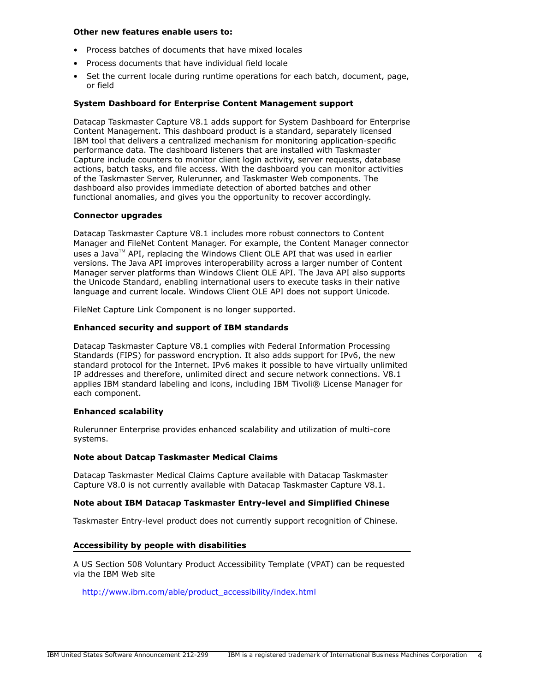#### **Other new features enable users to:**

- Process batches of documents that have mixed locales
- Process documents that have individual field locale
- Set the current locale during runtime operations for each batch, document, page, or field

## **System Dashboard for Enterprise Content Management support**

Datacap Taskmaster Capture V8.1 adds support for System Dashboard for Enterprise Content Management. This dashboard product is a standard, separately licensed IBM tool that delivers a centralized mechanism for monitoring application-specific performance data. The dashboard listeners that are installed with Taskmaster Capture include counters to monitor client login activity, server requests, database actions, batch tasks, and file access. With the dashboard you can monitor activities of the Taskmaster Server, Rulerunner, and Taskmaster Web components. The dashboard also provides immediate detection of aborted batches and other functional anomalies, and gives you the opportunity to recover accordingly.

## **Connector upgrades**

Datacap Taskmaster Capture V8.1 includes more robust connectors to Content Manager and FileNet Content Manager. For example, the Content Manager connector uses a Java<sup>TM</sup> API, replacing the Windows Client OLE API that was used in earlier versions. The Java API improves interoperability across a larger number of Content Manager server platforms than Windows Client OLE API. The Java API also supports the Unicode Standard, enabling international users to execute tasks in their native language and current locale. Windows Client OLE API does not support Unicode.

FileNet Capture Link Component is no longer supported.

## **Enhanced security and support of IBM standards**

Datacap Taskmaster Capture V8.1 complies with Federal Information Processing Standards (FIPS) for password encryption. It also adds support for IPv6, the new standard protocol for the Internet. IPv6 makes it possible to have virtually unlimited IP addresses and therefore, unlimited direct and secure network connections. V8.1 applies IBM standard labeling and icons, including IBM Tivoli® License Manager for each component.

## **Enhanced scalability**

Rulerunner Enterprise provides enhanced scalability and utilization of multi-core systems.

## **Note about Datcap Taskmaster Medical Claims**

Datacap Taskmaster Medical Claims Capture available with Datacap Taskmaster Capture V8.0 is not currently available with Datacap Taskmaster Capture V8.1.

## **Note about IBM Datacap Taskmaster Entry-level and Simplified Chinese**

Taskmaster Entry-level product does not currently support recognition of Chinese.

## **Accessibility by people with disabilities**

A US Section 508 Voluntary Product Accessibility Template (VPAT) can be requested via the IBM Web site

[http://www.ibm.com/able/product\\_accessibility/index.html](http://www.ibm.com/able/product_accessibility/index.html)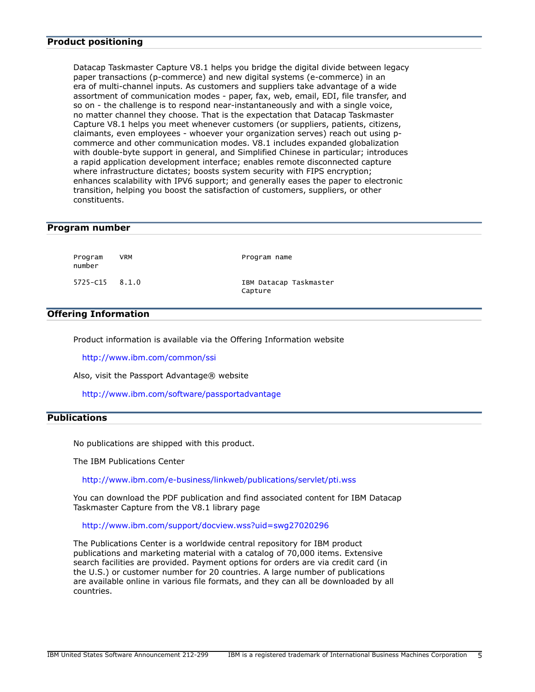<span id="page-4-1"></span>Datacap Taskmaster Capture V8.1 helps you bridge the digital divide between legacy paper transactions (p-commerce) and new digital systems (e-commerce) in an era of multi-channel inputs. As customers and suppliers take advantage of a wide assortment of communication modes - paper, fax, web, email, EDI, file transfer, and so on - the challenge is to respond near-instantaneously and with a single voice, no matter channel they choose. That is the expectation that Datacap Taskmaster Capture V8.1 helps you meet whenever customers (or suppliers, patients, citizens, claimants, even employees - whoever your organization serves) reach out using pcommerce and other communication modes. V8.1 includes expanded globalization with double-byte support in general, and Simplified Chinese in particular; introduces a rapid application development interface; enables remote disconnected capture where infrastructure dictates; boosts system security with FIPS encryption; enhances scalability with IPV6 support; and generally eases the paper to electronic transition, helping you boost the satisfaction of customers, suppliers, or other constituents.

#### <span id="page-4-2"></span>**Program number**

number

Program VRM **Program name** 

5725-C15 8.1.0 IBM Datacap Taskmaster Capture

## **Offering Information**

Product information is available via the Offering Information website

<http://www.ibm.com/common/ssi>

Also, visit the Passport Advantage® website

<http://www.ibm.com/software/passportadvantage>

## <span id="page-4-0"></span>**Publications**

No publications are shipped with this product.

The IBM Publications Center

<http://www.ibm.com/e-business/linkweb/publications/servlet/pti.wss>

You can download the PDF publication and find associated content for IBM Datacap Taskmaster Capture from the V8.1 library page

<http://www.ibm.com/support/docview.wss?uid=swg27020296>

The Publications Center is a worldwide central repository for IBM product publications and marketing material with a catalog of 70,000 items. Extensive search facilities are provided. Payment options for orders are via credit card (in the U.S.) or customer number for 20 countries. A large number of publications are available online in various file formats, and they can all be downloaded by all countries.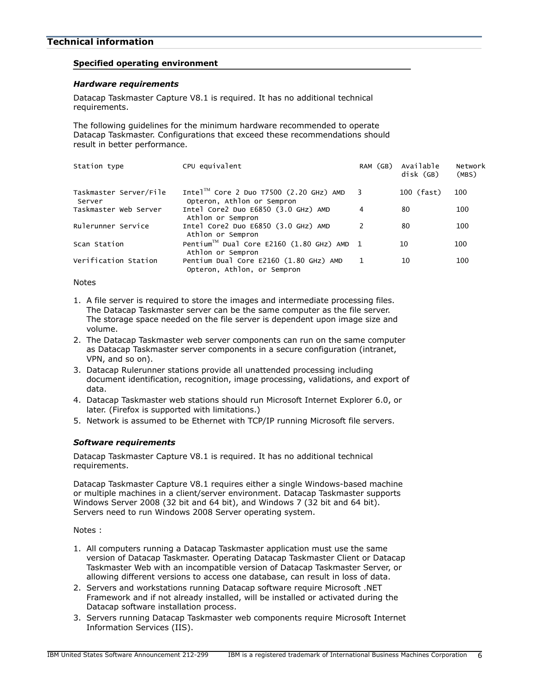## <span id="page-5-0"></span>**Technical information**

## **Specified operating environment**

## <span id="page-5-1"></span>*Hardware requirements*

Datacap Taskmaster Capture V8.1 is required. It has no additional technical requirements.

The following guidelines for the minimum hardware recommended to operate Datacap Taskmaster. Configurations that exceed these recommendations should result in better performance.

| Station type                     | CPU equivalent                                                                    | RAM (GB)      | Available<br>disk (GB) | Network<br>(MBS) |
|----------------------------------|-----------------------------------------------------------------------------------|---------------|------------------------|------------------|
| Taskmaster Server/File<br>Server | Intel <sup>1M</sup> Core 2 Duo T7500 (2.20 GHz) AMD<br>Opteron, Athlon or Sempron | 3             | 100 (fast)             | 100              |
| Taskmaster Web Server            | Intel Core2 Duo E6850 (3.0 GHz) AMD<br>Athlon or Sempron                          | 4             | 80                     | 100              |
| Rulerunner Service               | Intel Core2 Duo E6850 (3.0 GHz) AMD<br>Athlon or Sempron                          | $\mathcal{P}$ | 80                     | 100              |
| Scan Station                     | Pentium™ Dual Core E2160 (1.80 GHz) AMD 1<br>Athlon or Sempron                    |               | 10                     | 100              |
| Verification Station             | Pentium Dual Core E2160 (1.80 GHz) AMD<br>Opteron, Athlon, or Sempron             |               | 10                     | 100              |

Notes

- 1. A file server is required to store the images and intermediate processing files. The Datacap Taskmaster server can be the same computer as the file server. The storage space needed on the file server is dependent upon image size and volume.
- 2. The Datacap Taskmaster web server components can run on the same computer as Datacap Taskmaster server components in a secure configuration (intranet, VPN, and so on).
- 3. Datacap Rulerunner stations provide all unattended processing including document identification, recognition, image processing, validations, and export of data.
- 4. Datacap Taskmaster web stations should run Microsoft Internet Explorer 6.0, or later. (Firefox is supported with limitations.)
- 5. Network is assumed to be Ethernet with TCP/IP running Microsoft file servers.

## <span id="page-5-2"></span>*Software requirements*

Datacap Taskmaster Capture V8.1 is required. It has no additional technical requirements.

Datacap Taskmaster Capture V8.1 requires either a single Windows-based machine or multiple machines in a client/server environment. Datacap Taskmaster supports Windows Server 2008 (32 bit and 64 bit), and Windows 7 (32 bit and 64 bit). Servers need to run Windows 2008 Server operating system.

Notes :

- 1. All computers running a Datacap Taskmaster application must use the same version of Datacap Taskmaster. Operating Datacap Taskmaster Client or Datacap Taskmaster Web with an incompatible version of Datacap Taskmaster Server, or allowing different versions to access one database, can result in loss of data.
- 2. Servers and workstations running Datacap software require Microsoft .NET Framework and if not already installed, will be installed or activated during the Datacap software installation process.
- 3. Servers running Datacap Taskmaster web components require Microsoft Internet Information Services (IIS).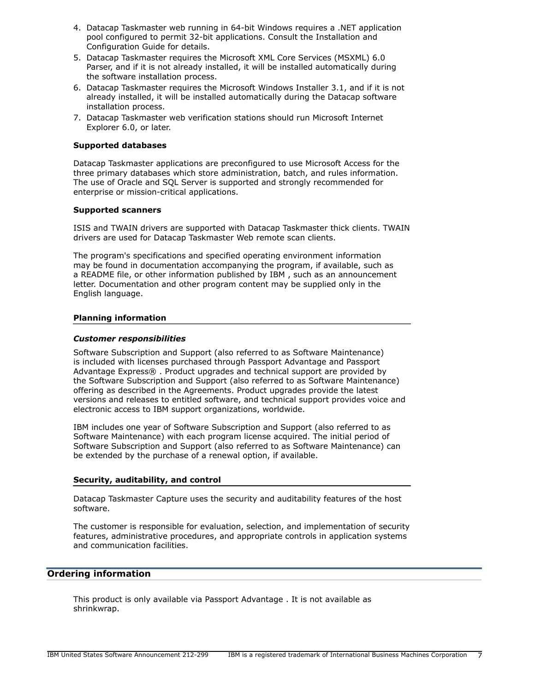- 4. Datacap Taskmaster web running in 64-bit Windows requires a .NET application pool configured to permit 32-bit applications. Consult the Installation and Configuration Guide for details.
- 5. Datacap Taskmaster requires the Microsoft XML Core Services (MSXML) 6.0 Parser, and if it is not already installed, it will be installed automatically during the software installation process.
- 6. Datacap Taskmaster requires the Microsoft Windows Installer 3.1, and if it is not already installed, it will be installed automatically during the Datacap software installation process.
- 7. Datacap Taskmaster web verification stations should run Microsoft Internet Explorer 6.0, or later.

## **Supported databases**

Datacap Taskmaster applications are preconfigured to use Microsoft Access for the three primary databases which store administration, batch, and rules information. The use of Oracle and SQL Server is supported and strongly recommended for enterprise or mission-critical applications.

## **Supported scanners**

ISIS and TWAIN drivers are supported with Datacap Taskmaster thick clients. TWAIN drivers are used for Datacap Taskmaster Web remote scan clients.

The program's specifications and specified operating environment information may be found in documentation accompanying the program, if available, such as a README file, or other information published by IBM , such as an announcement letter. Documentation and other program content may be supplied only in the English language.

## **Planning information**

## *Customer responsibilities*

Software Subscription and Support (also referred to as Software Maintenance) is included with licenses purchased through Passport Advantage and Passport Advantage Express® . Product upgrades and technical support are provided by the Software Subscription and Support (also referred to as Software Maintenance) offering as described in the Agreements. Product upgrades provide the latest versions and releases to entitled software, and technical support provides voice and electronic access to IBM support organizations, worldwide.

IBM includes one year of Software Subscription and Support (also referred to as Software Maintenance) with each program license acquired. The initial period of Software Subscription and Support (also referred to as Software Maintenance) can be extended by the purchase of a renewal option, if available.

## **Security, auditability, and control**

Datacap Taskmaster Capture uses the security and auditability features of the host software.

The customer is responsible for evaluation, selection, and implementation of security features, administrative procedures, and appropriate controls in application systems and communication facilities.

## <span id="page-6-0"></span>**Ordering information**

This product is only available via Passport Advantage . It is not available as shrinkwrap.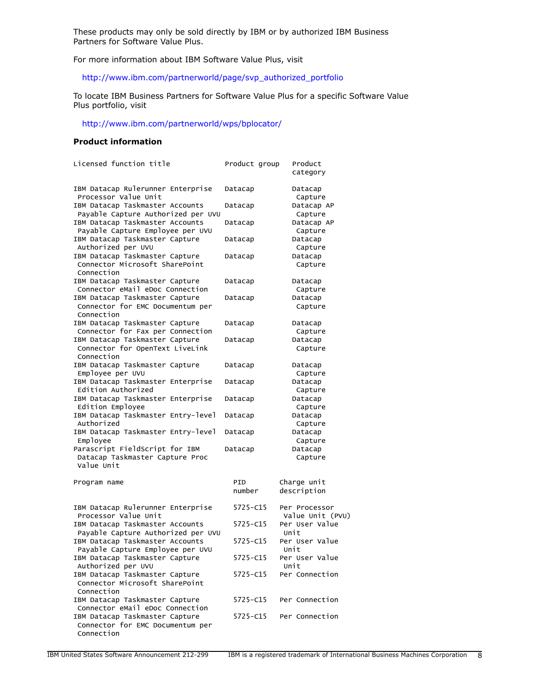These products may only be sold directly by IBM or by authorized IBM Business Partners for Software Value Plus.

For more information about IBM Software Value Plus, visit

[http://www.ibm.com/partnerworld/page/svp\\_authorized\\_portfolio](http://www.ibm.com/partnerworld/page/svp_authorized_portfolio)

To locate IBM Business Partners for Software Value Plus for a specific Software Value Plus portfolio, visit

## <http://www.ibm.com/partnerworld/wps/bplocator/>

## **Product information**

| Licensed function title                          | Product group | Product<br>category |
|--------------------------------------------------|---------------|---------------------|
| IBM Datacap Rulerunner Enterprise                | Datacap       | Datacap             |
| Processor Value Unit                             |               | Capture             |
| IBM Datacap Taskmaster Accounts                  | Datacap       | Datacap AP          |
| Payable Capture Authorized per UVU               |               | Capture             |
| IBM Datacap Taskmaster Accounts                  | Datacap       | Datacap AP          |
| Payable Capture Employee per UVU                 |               | Capture             |
| IBM Datacap Taskmaster Capture                   | Datacap       | Datacap             |
| Authorized per UVU                               |               | Capture             |
| IBM Datacap Taskmaster Capture                   | Datacap       | Datacap             |
| Connector Microsoft SharePoint                   |               | Capture             |
| Connection                                       |               |                     |
| IBM Datacap Taskmaster Capture                   | Datacap       | Datacap             |
| Connector eMail eDoc Connection                  |               | Capture             |
| IBM Datacap Taskmaster Capture                   | Datacap       | Datacap             |
| Connector for EMC Documentum per                 |               | Capture             |
| Connection                                       |               |                     |
| IBM Datacap Taskmaster Capture                   | Datacap       | Datacap             |
| Connector for Fax per Connection                 |               | Capture             |
| IBM Datacap Taskmaster Capture                   | Datacap       | Datacap             |
| Connector for OpenText LiveLink                  |               | Capture             |
| Connection                                       |               |                     |
| IBM Datacap Taskmaster Capture                   | Datacap       | Datacap             |
| Employee per UVU                                 |               | Capture             |
| IBM Datacap Taskmaster Enterprise                | Datacap       | Datacap             |
| Edition Authorized                               |               | Capture             |
| IBM Datacap Taskmaster Enterprise                | Datacap       | Datacap             |
| Edition Employee                                 |               | Capture             |
| IBM Datacap Taskmaster Entry-level<br>Authorized | Datacap       | Datacap             |
| IBM Datacap Taskmaster Entry-level               |               | Capture             |
| Employee                                         | Datacap       | Datacap             |
| Parascript FieldScript for IBM                   | Datacap       | Capture<br>Datacap  |
| Datacap Taskmaster Capture Proc                  |               | Capture             |
| Value Unit                                       |               |                     |
|                                                  |               |                     |
| Program name                                     | PID           | Charge unit         |
|                                                  | number        | description         |
|                                                  |               |                     |
| IBM Datacap Rulerunner Enterprise                | 5725-C15      | Per Processor       |
| Processor Value Unit                             |               | Value Unit (PVU)    |
| IBM Datacap Taskmaster Accounts                  | 5725-C15      | Per User Value      |
| Payable Capture Authorized per UVU               |               | Unit                |
| IBM Datacap Taskmaster Accounts                  | 5725-C15      | Per User Value      |
| Payable Capture Employee per UVU                 |               | Unit                |
| IBM Datacap Taskmaster Capture                   | 5725-C15      | Per User Value      |
| Authorized per UVU                               |               | Unit                |
| IBM Datacap Taskmaster Capture                   | 5725-C15      | Per Connection      |
| Connector Microsoft SharePoint                   |               |                     |
| Connection                                       |               |                     |
| IBM Datacap Taskmaster Capture                   | 5725-C15      | Per Connection      |
| Connector eMail eDoc Connection                  |               |                     |
| IBM Datacap Taskmaster Capture                   | 5725-C15      | Per Connection      |
| Connector for EMC Documentum per                 |               |                     |
| Connection                                       |               |                     |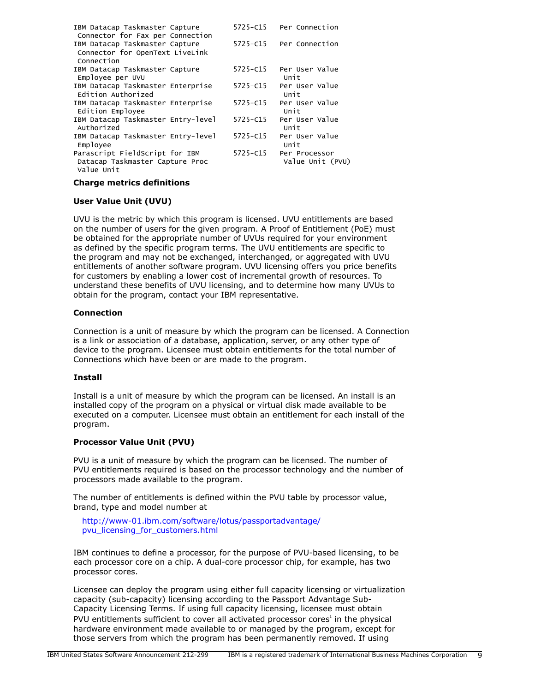| IBM Datacap Taskmaster Capture<br>Connector for Fax per Connection              | $5725 - C15$ | Per Connection                    |
|---------------------------------------------------------------------------------|--------------|-----------------------------------|
| IBM Datacap Taskmaster Capture<br>Connector for OpenText LiveLink<br>Connection | $5725 - C15$ | Per Connection                    |
| IBM Datacap Taskmaster Capture<br>Employee per UVU                              | $5725 - C15$ | Per User Value<br>Unit            |
| IBM Datacap Taskmaster Enterprise<br>Edition Authorized                         | 5725-C15     | Per User Value<br>Unit            |
| IBM Datacap Taskmaster Enterprise<br>Edition Employee                           | 5725-C15     | Per User Value<br>Unit            |
| IBM Datacap Taskmaster Entry-level<br>Authorized                                | $5725 - C15$ | Per User Value<br>Unit            |
| IBM Datacap Taskmaster Entry-level<br>Employee                                  | $5725 - C15$ | Per User Value<br>Unit            |
| Parascript FieldScript for IBM<br>Datacap Taskmaster Capture Proc<br>Value Unit | 5725-C15     | Per Processor<br>Value Unit (PVU) |

## **Charge metrics definitions**

## **User Value Unit (UVU)**

UVU is the metric by which this program is licensed. UVU entitlements are based on the number of users for the given program. A Proof of Entitlement (PoE) must be obtained for the appropriate number of UVUs required for your environment as defined by the specific program terms. The UVU entitlements are specific to the program and may not be exchanged, interchanged, or aggregated with UVU entitlements of another software program. UVU licensing offers you price benefits for customers by enabling a lower cost of incremental growth of resources. To understand these benefits of UVU licensing, and to determine how many UVUs to obtain for the program, contact your IBM representative.

## **Connection**

Connection is a unit of measure by which the program can be licensed. A Connection is a link or association of a database, application, server, or any other type of device to the program. Licensee must obtain entitlements for the total number of Connections which have been or are made to the program.

## **Install**

Install is a unit of measure by which the program can be licensed. An install is an installed copy of the program on a physical or virtual disk made available to be executed on a computer. Licensee must obtain an entitlement for each install of the program.

# **Processor Value Unit (PVU)**

PVU is a unit of measure by which the program can be licensed. The number of PVU entitlements required is based on the processor technology and the number of processors made available to the program.

The number of entitlements is defined within the PVU table by processor value, brand, type and model number at

[http://www-01.ibm.com/software/lotus/passportadvantage/](http://www-01.ibm.com/software/lotus/passportadvantage/pvu_licensing_for_customers.html) [pvu\\_licensing\\_for\\_customers.html](http://www-01.ibm.com/software/lotus/passportadvantage/pvu_licensing_for_customers.html)

IBM continues to define a processor, for the purpose of PVU-based licensing, to be each processor core on a chip. A dual-core processor chip, for example, has two processor cores.

Licensee can deploy the program using either full capacity licensing or virtualization capacity (sub-capacity) licensing according to the Passport Advantage Sub-Capacity Licensing Terms. If using full capacity licensing, licensee must obtain PVU entitlements sufficient to cover all activated processor cores<sup>1</sup> in the physical hardware environment made available to or managed by the program, except for those servers from which the program has been permanently removed. If using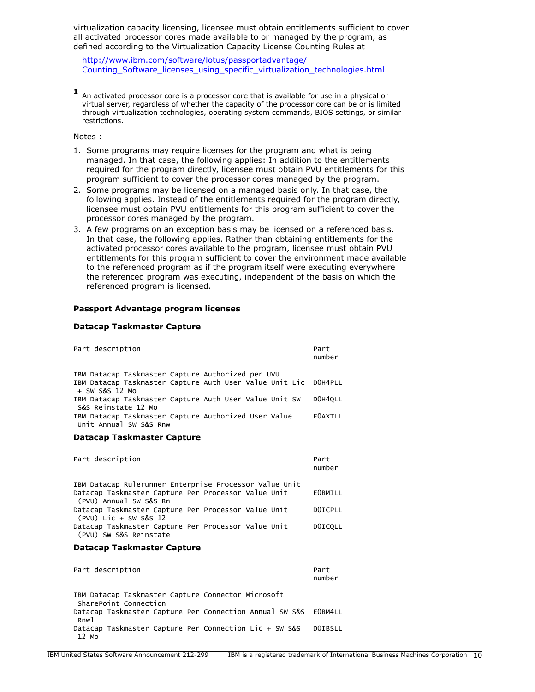virtualization capacity licensing, licensee must obtain entitlements sufficient to cover all activated processor cores made available to or managed by the program, as defined according to the Virtualization Capacity License Counting Rules at

[http://www.ibm.com/software/lotus/passportadvantage/](http://www.ibm.com/software/lotus/passportadvantage/Counting_Software_licenses_using_specific_virtualization_technologies.html) [Counting\\_Software\\_licenses\\_using\\_specific\\_virtualization\\_technologies.html](http://www.ibm.com/software/lotus/passportadvantage/Counting_Software_licenses_using_specific_virtualization_technologies.html)

**1** An activated processor core is a processor core that is available for use in a physical or virtual server, regardless of whether the capacity of the processor core can be or is limited through virtualization technologies, operating system commands, BIOS settings, or similar restrictions.

Notes :

- 1. Some programs may require licenses for the program and what is being managed. In that case, the following applies: In addition to the entitlements required for the program directly, licensee must obtain PVU entitlements for this program sufficient to cover the processor cores managed by the program.
- 2. Some programs may be licensed on a managed basis only. In that case, the following applies. Instead of the entitlements required for the program directly, licensee must obtain PVU entitlements for this program sufficient to cover the processor cores managed by the program.
- 3. A few programs on an exception basis may be licensed on a referenced basis. In that case, the following applies. Rather than obtaining entitlements for the activated processor cores available to the program, licensee must obtain PVU entitlements for this program sufficient to cover the environment made available to the referenced program as if the program itself were executing everywhere the referenced program was executing, independent of the basis on which the referenced program is licensed.

#### **Passport Advantage program licenses**

#### **Datacap Taskmaster Capture**

| Part description                                                                                                               | Part<br>number |
|--------------------------------------------------------------------------------------------------------------------------------|----------------|
| IBM Datacap Taskmaster Capture Authorized per UVU<br>IBM Datacap Taskmaster Capture Auth User Value Unit Lic<br>+ SW S&S 12 Mo | DOH4PLL        |
| IBM Datacap Taskmaster Capture Auth User Value Unit SW<br>S&S Reinstate 12 Mo                                                  | DOH4OLL        |
| IBM Datacap Taskmaster Capture Authorized User Value<br>Unit Annual SW S&S Rnw                                                 | <b>EOAXTLL</b> |
| Datacap Taskmaster Capture                                                                                                     |                |
| Part description                                                                                                               | Part<br>number |
| IBM Datacap Rulerunner Enterprise Processor Value Unit                                                                         |                |
| Datacap Taskmaster Capture Per Processor Value Unit<br>(PVU) Annual SW S&S Rn                                                  | <b>EOBMILL</b> |
| Datacap Taskmaster Capture Per Processor Value Unit<br>$(PVU)$ Lic + SW S&S 12                                                 | DOICPLL        |
| Datacap Taskmaster Capture Per Processor Value Unit<br>(PVU) SW S&S Reinstate                                                  | DOICQLL        |
| Datacap Taskmaster Capture                                                                                                     |                |
| Part description                                                                                                               | Part<br>number |
| IBM Datacap Taskmaster Capture Connector Microsoft                                                                             |                |
| SharePoint Connection                                                                                                          |                |
| Datacap Taskmaster Capture Per Connection Annual SW S&S EOBM4LL<br>R <sub>nw</sub> <sub>1</sub>                                |                |
| Datacap Taskmaster Capture Per Connection Lic + SW S&S<br>12 Mo                                                                | DOIBSLL        |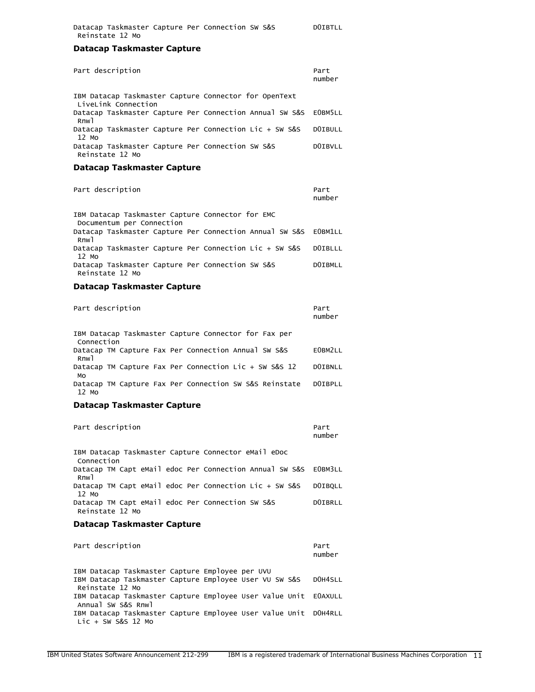## **Datacap Taskmaster Capture**

| Part description                                                                    | Part<br>number |
|-------------------------------------------------------------------------------------|----------------|
| IBM Datacap Taskmaster Capture Connector for OpenText                               |                |
| LiveLink Connection<br>Datacap Taskmaster Capture Per Connection Annual SW S&S      | EOBM5LL        |
| Rnw <sub>1</sub><br>Datacap Taskmaster Capture Per Connection Lic + SW S&S<br>12 Mo | <b>DOIBULL</b> |
| Datacap Taskmaster Capture Per Connection SW S&S<br>Reinstate 12 Mo                 | <b>DOIBVLL</b> |
| Datacap Taskmaster Capture                                                          |                |
| Part description                                                                    | Part<br>number |
| IBM Datacap Taskmaster Capture Connector for EMC<br>Documentum per Connection       |                |
| Datacap Taskmaster Capture Per Connection Annual SW S&S<br>Rnw <sub>1</sub>         | EOBM1LL        |
| Datacap Taskmaster Capture Per Connection Lic + SW S&S<br>12 Mo                     | <b>DOIBLLL</b> |
| Datacap Taskmaster Capture Per Connection SW S&S<br>Reinstate 12 Mo                 | <b>DOIBMLL</b> |
| <b>Datacap Taskmaster Capture</b>                                                   |                |
| Part description                                                                    | Part<br>number |
| IBM Datacap Taskmaster Capture Connector for Fax per<br>Connection                  |                |
| Datacap TM Capture Fax Per Connection Annual SW S&S<br>Rnw <sub>1</sub>             | E0BM2LL        |
| Datacap TM Capture Fax Per Connection Lic + SW S&S 12<br>MO                         | <b>DOIBNLL</b> |
| Datacap TM Capture Fax Per Connection SW S&S Reinstate<br>12 Mo                     | <b>DOIBPLL</b> |
| <b>Datacap Taskmaster Capture</b>                                                   |                |
| Part description                                                                    | Part<br>number |
| IBM Datacap Taskmaster Capture Connector eMail eDoc<br>Connection                   |                |
| Datacap TM Capt eMail edoc Per Connection Annual SW S&S<br>Rnw <sub>1</sub>         | EOBM3LL        |

Datacap TM Capt eMail edoc Per Connection Lic + SW S&S D0IBQLL 12 Mo Datacap TM Capt eMail edoc Per Connection SW S&S DOIBRLL Reinstate 12 Mo

## **Datacap Taskmaster Capture**

| Part description                                                | Part<br>number |
|-----------------------------------------------------------------|----------------|
| IBM Datacap Taskmaster Capture Employee per UVU                 |                |
| IBM Datacap Taskmaster Capture Employee User VU SW S&S          | DOH4SLL        |
| Reinstate 12 Mo                                                 |                |
| IBM Datacap Taskmaster Capture Employee User Value Unit EOAXULL |                |
| Annual SW S&S Rnwl                                              |                |
| IBM Datacap Taskmaster Capture Employee User Value Unit DOH4RLL |                |
| $Lie + SW S&S 12 Mo$                                            |                |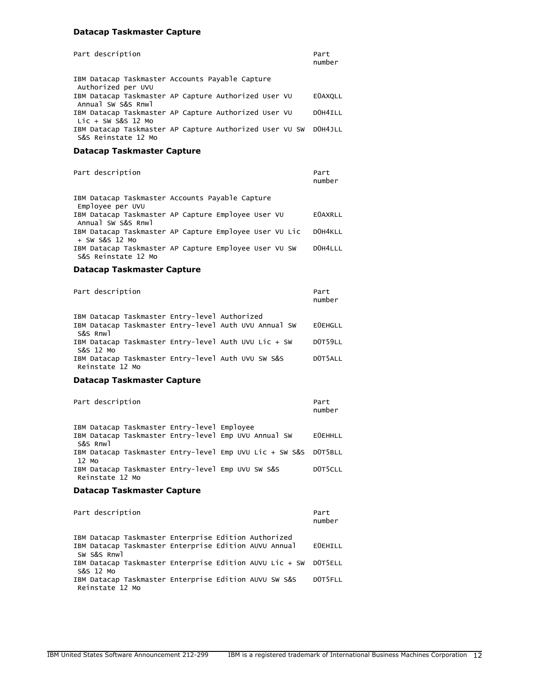# **Datacap Taskmaster Capture**

| Part description                                                                       | Part<br>number |
|----------------------------------------------------------------------------------------|----------------|
| IBM Datacap Taskmaster Accounts Payable Capture<br>Authorized per UVU                  |                |
| IBM Datacap Taskmaster AP Capture Authorized User VU<br>Annual SW S&S Rnwl             | <b>EOAXOLL</b> |
| IBM Datacap Taskmaster AP Capture Authorized User VU<br>Lic + SW S&S 12 Mo             | DOH4ILL        |
| IBM Datacap Taskmaster AP Capture Authorized User VU SW DOH4JLL<br>S&S Reinstate 12 Mo |                |

# **Datacap Taskmaster Capture**

| Part description                                                             | Part<br>number |
|------------------------------------------------------------------------------|----------------|
| IBM Datacap Taskmaster Accounts Payable Capture<br>Emplovee per UVU          |                |
| IBM Datacap Taskmaster AP Capture Employee User VU<br>Annual SW S&S Rnwl     | <b>EOAXRLL</b> |
| IBM Datacap Taskmaster AP Capture Employee User VU Lic<br>$+$ SW S&S 12 Mo   | DOH4KLL        |
| IBM Datacap Taskmaster AP Capture Employee User VU SW<br>S&S Reinstate 12 Mo | DOH4LLL        |

# **Datacap Taskmaster Capture**

| Part description |                                               |                                                       | Part<br>number |
|------------------|-----------------------------------------------|-------------------------------------------------------|----------------|
| S&S Rnwl         | IBM Datacap Taskmaster Entry-level Authorized | IBM Datacap Taskmaster Entry-level Auth UVU Annual SW | <b>EOEHGLL</b> |
| S&S 12 Mo        |                                               | IBM Datacap Taskmaster Entry-level Auth UVU Lic + SW  | DOT59LL        |

| S&S IZ MO       |                                                    |  |  |         |
|-----------------|----------------------------------------------------|--|--|---------|
|                 | IBM Datacap Taskmaster Entry-level Auth UVU SW S&S |  |  | DOT5ALL |
| Reinstate 12 Mo |                                                    |  |  |         |

# **Datacap Taskmaster Capture**

| Part description                                                | Part<br>number |
|-----------------------------------------------------------------|----------------|
| IBM Datacap Taskmaster Entry-level Employee                     |                |
| IBM Datacap Taskmaster Entry-level Emp UVU Annual SW            | <b>EOEHHLL</b> |
| S&S Rnwl                                                        |                |
| IBM Datacap Taskmaster Entry-level Emp UVU Lic + SW S&S DOT5BLL |                |
| 12 Mo                                                           |                |
| IBM Datacap Taskmaster Entry-level Emp UVU SW S&S               | DOT5CLL        |
| Reinstate 12 Mo                                                 |                |

# **Datacap Taskmaster Capture**

| Part description                                                                                                             |  | Part<br>number |
|------------------------------------------------------------------------------------------------------------------------------|--|----------------|
| IBM Datacap Taskmaster Enterprise Edition Authorized<br>IBM Datacap Taskmaster Enterprise Edition AUVU Annual<br>SW S&S Rnwl |  | <b>EOEHILL</b> |
| IBM Datacap Taskmaster Enterprise Edition AUVU Lic + SW DOT5ELL                                                              |  |                |
| S&S 12 Mo<br>IBM Datacap Taskmaster Enterprise Edition AUVU SW S&S<br>Reinstate 12 Mo                                        |  | DOT5FLL        |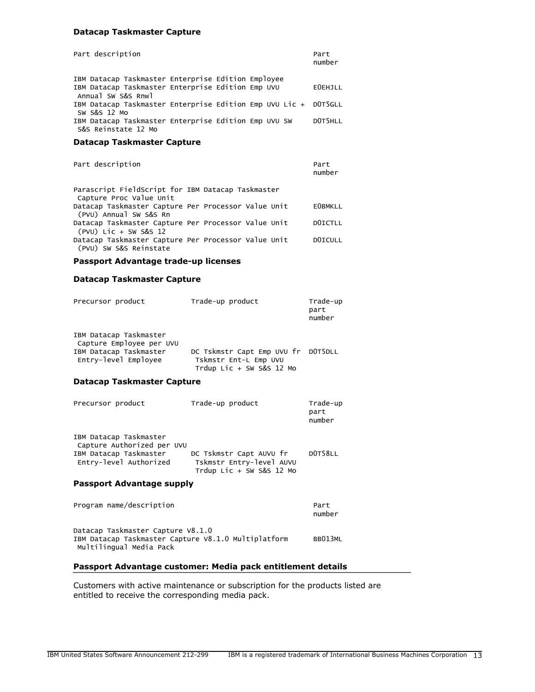## **Datacap Taskmaster Capture**

| Part description                                                                                                              |  | Part<br>number |
|-------------------------------------------------------------------------------------------------------------------------------|--|----------------|
| IBM Datacap Taskmaster Enterprise Edition Employee<br>IBM Datacap Taskmaster Enterprise Edition Emp UVU<br>Annual SW S&S Rnwl |  | <b>EOEHJLL</b> |
| IBM Datacap Taskmaster Enterprise Edition Emp UVU Lic + DOT5GLL<br>SW S&S 12 Mo                                               |  |                |
| IBM Datacap Taskmaster Enterprise Edition Emp UVU SW<br>S&S Reinstate 12 Mo                                                   |  | DOT5HLL        |

## **Datacap Taskmaster Capture**

| Part description                                                              | Part<br>number |
|-------------------------------------------------------------------------------|----------------|
| Parascript FieldScript for IBM Datacap Taskmaster<br>Capture Proc Value Unit  |                |
| Datacap Taskmaster Capture Per Processor Value Unit<br>(PVU) Annual SW S&S Rn | <b>EOBMKLL</b> |
| Datacap Taskmaster Capture Per Processor Value Unit<br>(PVU) Lic + SW S&S 12  | DOICTLL        |
| Datacap Taskmaster Capture Per Processor Value Unit<br>(PVU) SW S&S Reinstate | DOICULL        |

#### **Passport Advantage trade-up licenses**

#### **Datacap Taskmaster Capture**

| Precursor product                                  | Trade-up product                                                                        | Trade-up<br>part<br>number |
|----------------------------------------------------|-----------------------------------------------------------------------------------------|----------------------------|
| IBM Datacap Taskmaster<br>Capture Employee per UVU |                                                                                         |                            |
| IBM Datacap Taskmaster<br>Entry-level Employee     | DC Tskmstr Capt Emp UVU fr DOT5DLL<br>Tskmstr Ent-L Emp UVU<br>Trdup Lic + SW S&S 12 Mo |                            |

#### **Datacap Taskmaster Capture**

| Precursor product                                                                                        | Trade-up product                                                                  | Trade-up<br>part<br>number |
|----------------------------------------------------------------------------------------------------------|-----------------------------------------------------------------------------------|----------------------------|
| IBM Datacap Taskmaster<br>Capture Authorized per UVU<br>IBM Datacap Taskmaster<br>Entry-level Authorized | DC Tskmstr Capt AUVU fr<br>Tskmstr Entry-level AUVU<br>Trdup Lic + SW S&S $12$ Mo | DOT58LL                    |
|                                                                                                          |                                                                                   |                            |

#### **Passport Advantage supply**

| Program name/description                                                                                            | Part<br>number |
|---------------------------------------------------------------------------------------------------------------------|----------------|
| Datacap Taskmaster Capture V8.1.0<br>IBM Datacap Taskmaster Capture V8.1.0 Multiplatform<br>Multilingual Media Pack | BB013ML        |

## **Passport Advantage customer: Media pack entitlement details**

Customers with active maintenance or subscription for the products listed are entitled to receive the corresponding media pack.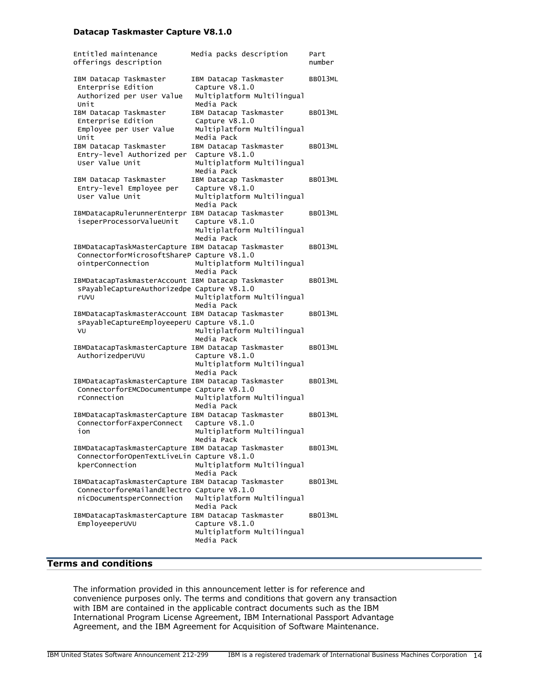## **Datacap Taskmaster Capture V8.1.0**

| Entitled maintenance<br>offerings description                                                                                 | Media packs description                                                              | Part<br>number |
|-------------------------------------------------------------------------------------------------------------------------------|--------------------------------------------------------------------------------------|----------------|
| IBM Datacap Taskmaster<br>Enterprise Edition<br>Authorized per User Value<br>Unit                                             | IBM Datacap Taskmaster<br>Capture V8.1.0<br>Multiplatform Multilingual<br>Media Pack | BB013ML        |
| IBM Datacap Taskmaster<br>Enterprise Edition<br>Employee per User Value<br>Unit                                               | IBM Datacap Taskmaster<br>Capture V8.1.0<br>Multiplatform Multilingual<br>Media Pack | BB013ML        |
| IBM Datacap Taskmaster<br>Entry-level Authorized per<br>User Value Unit                                                       | IBM Datacap Taskmaster<br>Capture V8.1.0<br>Multiplatform Multilingual<br>Media Pack | BB013ML        |
| IBM Datacap Taskmaster<br>Entry-level Employee per<br>User Value Unit                                                         | IBM Datacap Taskmaster<br>Capture V8.1.0<br>Multiplatform Multilingual<br>Media Pack | BB013ML        |
| IBMDatacapRulerunnerEnterpr<br>iseperProcessorValueUnit                                                                       | IBM Datacap Taskmaster<br>Capture V8.1.0<br>Multiplatform Multilingual<br>Media Pack | BB013ML        |
| IBMDatacapTaskMasterCapture IBM Datacap Taskmaster<br>ConnectorforMicrosoftShareP Capture V8.1.0<br>ointperConnection         | Multiplatform Multilingual<br>Media Pack                                             | BB013ML        |
| IBMDatacapTaskmasterAccount IBM Datacap Taskmaster<br>sPayableCaptureAuthorizedpe Capture V8.1.0<br>ruvu                      | Multiplatform Multilingual<br>Media Pack                                             | BB013ML        |
| IBMDatacapTaskmasterAccount IBM Datacap Taskmaster<br>sPayableCaptureEmployeeperU Capture V8.1.0<br>VU                        | Multiplatform Multilingual<br>Media Pack                                             | BB013ML        |
| IBMDatacapTaskmasterCapture IBM Datacap Taskmaster<br>AuthorizedperUVU                                                        | Capture V8.1.0<br>Multiplatform Multilingual<br>Media Pack                           | BB013ML        |
| IBMDatacapTaskmasterCapture IBM Datacap Taskmaster<br>ConnectorforEMCDocumentumpe Capture V8.1.0<br>rConnection               | Multiplatform Multilingual<br>Media Pack                                             | BB013ML        |
| IBMDatacapTaskmasterCapture IBM Datacap Taskmaster<br>ConnectorforFaxperConnect<br>ion                                        | Capture V8.1.0<br>Multiplatform Multilingual<br>Media Pack                           | BB013ML        |
| IBMDatacapTaskmasterCapture IBM Datacap Taskmaster<br>ConnectorforOpenTextLiveLin Capture V8.1.0<br>kperConnection            | Multiplatform Multilingual<br>Media Pack                                             | BB013ML        |
| IBMDatacapTaskmasterCapture IBM Datacap Taskmaster<br>ConnectorforeMailandElectro Capture V8.1.0<br>nicDocumentsperConnection | Multiplatform Multilingual<br>Media Pack                                             | BB013ML        |
| IBMDatacapTaskmasterCapture IBM Datacap Taskmaster<br>EmployeeperUVU                                                          | Capture V8.1.0<br>Multiplatform Multilingual<br>Media Pack                           | BB013ML        |

# <span id="page-13-0"></span>**Terms and conditions**

The information provided in this announcement letter is for reference and convenience purposes only. The terms and conditions that govern any transaction with IBM are contained in the applicable contract documents such as the IBM International Program License Agreement, IBM International Passport Advantage Agreement, and the IBM Agreement for Acquisition of Software Maintenance.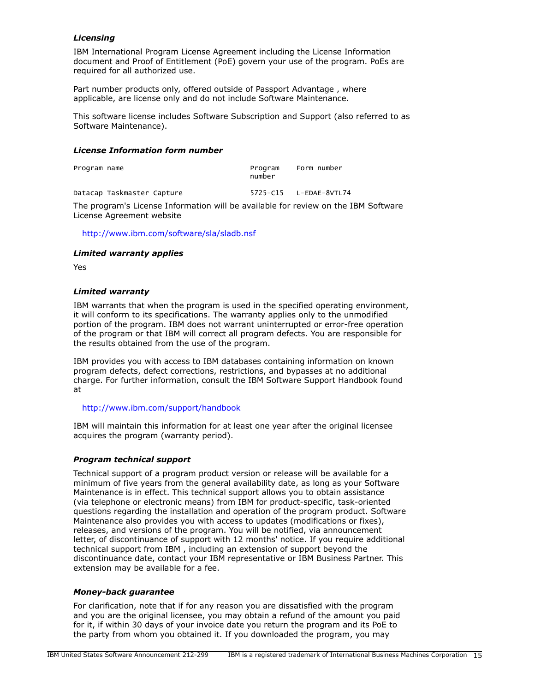# *Licensing*

IBM International Program License Agreement including the License Information document and Proof of Entitlement (PoE) govern your use of the program. PoEs are required for all authorized use.

Part number products only, offered outside of Passport Advantage , where applicable, are license only and do not include Software Maintenance.

This software license includes Software Subscription and Support (also referred to as Software Maintenance).

## *License Information form number*

| Program name               | Program<br>number | Form number            |
|----------------------------|-------------------|------------------------|
| Datacap Taskmaster Capture |                   | 5725-C15 L-EDAE-8VTL74 |

The program's License Information will be available for review on the IBM Software License Agreement website

## <http://www.ibm.com/software/sla/sladb.nsf>

## *Limited warranty applies*

Yes

## *Limited warranty*

IBM warrants that when the program is used in the specified operating environment, it will conform to its specifications. The warranty applies only to the unmodified portion of the program. IBM does not warrant uninterrupted or error-free operation of the program or that IBM will correct all program defects. You are responsible for the results obtained from the use of the program.

IBM provides you with access to IBM databases containing information on known program defects, defect corrections, restrictions, and bypasses at no additional charge. For further information, consult the IBM Software Support Handbook found at

## <http://www.ibm.com/support/handbook>

IBM will maintain this information for at least one year after the original licensee acquires the program (warranty period).

## *Program technical support*

Technical support of a program product version or release will be available for a minimum of five years from the general availability date, as long as your Software Maintenance is in effect. This technical support allows you to obtain assistance (via telephone or electronic means) from IBM for product-specific, task-oriented questions regarding the installation and operation of the program product. Software Maintenance also provides you with access to updates (modifications or fixes), releases, and versions of the program. You will be notified, via announcement letter, of discontinuance of support with 12 months' notice. If you require additional technical support from IBM , including an extension of support beyond the discontinuance date, contact your IBM representative or IBM Business Partner. This extension may be available for a fee.

## *Money-back guarantee*

For clarification, note that if for any reason you are dissatisfied with the program and you are the original licensee, you may obtain a refund of the amount you paid for it, if within 30 days of your invoice date you return the program and its PoE to the party from whom you obtained it. If you downloaded the program, you may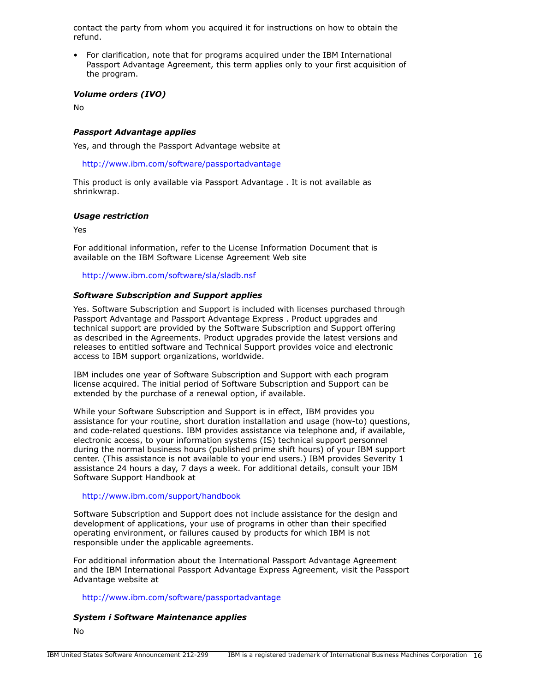contact the party from whom you acquired it for instructions on how to obtain the refund.

• For clarification, note that for programs acquired under the IBM International Passport Advantage Agreement, this term applies only to your first acquisition of the program.

## *Volume orders (IVO)*

No

## *Passport Advantage applies*

Yes, and through the Passport Advantage website at

<http://www.ibm.com/software/passportadvantage>

This product is only available via Passport Advantage . It is not available as shrinkwrap.

## *Usage restriction*

Yes

For additional information, refer to the License Information Document that is available on the IBM Software License Agreement Web site

<http://www.ibm.com/software/sla/sladb.nsf>

## *Software Subscription and Support applies*

Yes. Software Subscription and Support is included with licenses purchased through Passport Advantage and Passport Advantage Express . Product upgrades and technical support are provided by the Software Subscription and Support offering as described in the Agreements. Product upgrades provide the latest versions and releases to entitled software and Technical Support provides voice and electronic access to IBM support organizations, worldwide.

IBM includes one year of Software Subscription and Support with each program license acquired. The initial period of Software Subscription and Support can be extended by the purchase of a renewal option, if available.

While your Software Subscription and Support is in effect, IBM provides you assistance for your routine, short duration installation and usage (how-to) questions, and code-related questions. IBM provides assistance via telephone and, if available, electronic access, to your information systems (IS) technical support personnel during the normal business hours (published prime shift hours) of your IBM support center. (This assistance is not available to your end users.) IBM provides Severity 1 assistance 24 hours a day, 7 days a week. For additional details, consult your IBM Software Support Handbook at

## <http://www.ibm.com/support/handbook>

Software Subscription and Support does not include assistance for the design and development of applications, your use of programs in other than their specified operating environment, or failures caused by products for which IBM is not responsible under the applicable agreements.

For additional information about the International Passport Advantage Agreement and the IBM International Passport Advantage Express Agreement, visit the Passport Advantage website at

## <http://www.ibm.com/software/passportadvantage>

## *System i Software Maintenance applies*

No